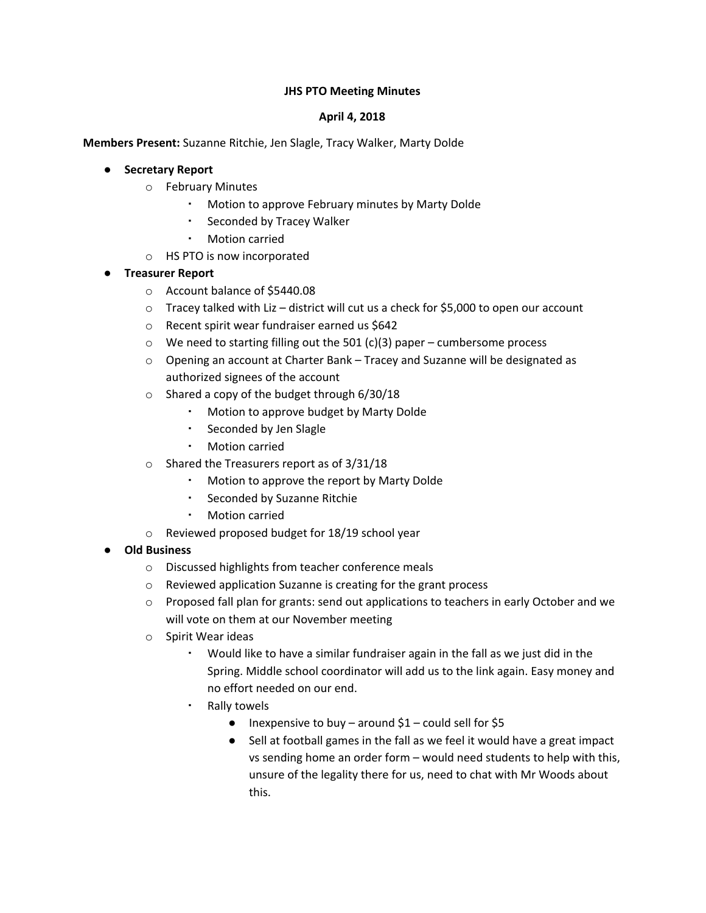## **JHS PTO Meeting Minutes**

### **April 4, 2018**

**Members Present:** Suzanne Ritchie, Jen Slagle, Tracy Walker, Marty Dolde

## **● Secretary Report**

- o February Minutes
	- Motion to approve February minutes by Marty Dolde
	- Seconded by Tracey Walker
	- Motion carried
- o HS PTO is now incorporated

## **● Treasurer Report**

- o Account balance of \$5440.08
- $\circ$  Tracey talked with Liz district will cut us a check for \$5,000 to open our account
- o Recent spirit wear fundraiser earned us \$642
- $\circ$  We need to starting filling out the 501 (c)(3) paper cumbersome process
- o Opening an account at Charter Bank Tracey and Suzanne will be designated as authorized signees of the account
- o Shared a copy of the budget through 6/30/18
	- Motion to approve budget by Marty Dolde
	- Seconded by Jen Slagle
	- Motion carried
- o Shared the Treasurers report as of 3/31/18
	- Motion to approve the report by Marty Dolde
	- Seconded by Suzanne Ritchie
	- **Motion carried**
- o Reviewed proposed budget for 18/19 school year

#### **● Old Business**

- o Discussed highlights from teacher conference meals
- o Reviewed application Suzanne is creating for the grant process
- o Proposed fall plan for grants: send out applications to teachers in early October and we will vote on them at our November meeting
- o Spirit Wear ideas
	- Would like to have a similar fundraiser again in the fall as we just did in the Spring. Middle school coordinator will add us to the link again. Easy money and no effort needed on our end.
	- Rally towels
		- Inexpensive to buy around  $$1$  could sell for \$5
		- Sell at football games in the fall as we feel it would have a great impact vs sending home an order form – would need students to help with this, unsure of the legality there for us, need to chat with Mr Woods about this.